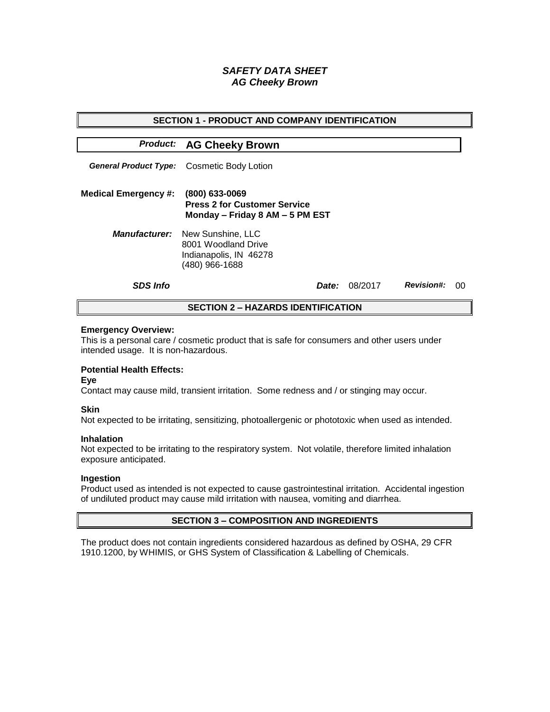# *SAFETY DATA SHEET AG Cheeky Brown*

| <b>SECTION 1 - PRODUCT AND COMPANY IDENTIFICATION</b> |                                                                                                           |       |         |                   |    |  |
|-------------------------------------------------------|-----------------------------------------------------------------------------------------------------------|-------|---------|-------------------|----|--|
|                                                       | <b>Product: AG Cheeky Brown</b>                                                                           |       |         |                   |    |  |
|                                                       | <b>General Product Type:</b> Cosmetic Body Lotion                                                         |       |         |                   |    |  |
| <b>Medical Emergency #:</b>                           | $(800)$ 633-0069<br><b>Press 2 for Customer Service</b><br>Monday - Friday 8 AM - 5 PM EST                |       |         |                   |    |  |
|                                                       | <b>Manufacturer:</b> New Sunshine, LLC<br>8001 Woodland Drive<br>Indianapolis, IN 46278<br>(480) 966-1688 |       |         |                   |    |  |
| <b>SDS Info</b>                                       |                                                                                                           | Date: | 08/2017 | <b>Revision#:</b> | ററ |  |
| <b>SECTION 2 - HAZARDS IDENTIFICATION</b>             |                                                                                                           |       |         |                   |    |  |

#### **Emergency Overview:**

This is a personal care / cosmetic product that is safe for consumers and other users under intended usage. It is non-hazardous.

## **Potential Health Effects:**

**Eye**

Contact may cause mild, transient irritation. Some redness and / or stinging may occur.

### **Skin**

Not expected to be irritating, sensitizing, photoallergenic or phototoxic when used as intended.

#### **Inhalation**

Not expected to be irritating to the respiratory system. Not volatile, therefore limited inhalation exposure anticipated.

### **Ingestion**

Product used as intended is not expected to cause gastrointestinal irritation. Accidental ingestion of undiluted product may cause mild irritation with nausea, vomiting and diarrhea.

### **SECTION 3 – COMPOSITION AND INGREDIENTS**

The product does not contain ingredients considered hazardous as defined by OSHA, 29 CFR 1910.1200, by WHIMIS, or GHS System of Classification & Labelling of Chemicals.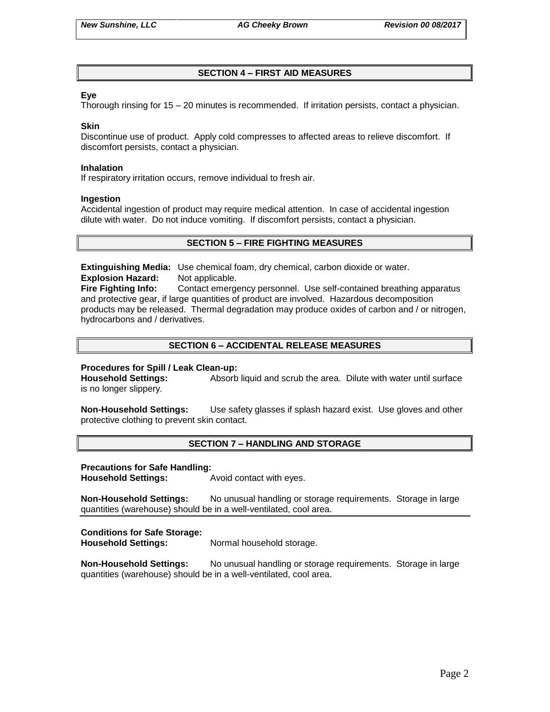## **SECTION 4 – FIRST AID MEASURES**

### **Eye**

Thorough rinsing for 15 – 20 minutes is recommended. If irritation persists, contact a physician.

#### **Skin**

Discontinue use of product. Apply cold compresses to affected areas to relieve discomfort. If discomfort persists, contact a physician.

#### **Inhalation**

If respiratory irritation occurs, remove individual to fresh air.

#### **Ingestion**

Accidental ingestion of product may require medical attention. In case of accidental ingestion dilute with water. Do not induce vomiting. If discomfort persists, contact a physician.

## **SECTION 5 – FIRE FIGHTING MEASURES**

**Extinguishing Media:** Use chemical foam, dry chemical, carbon dioxide or water. **Explosion Hazard:** Not applicable.

**Fire Fighting Info:** Contact emergency personnel. Use self-contained breathing apparatus and protective gear, if large quantities of product are involved. Hazardous decomposition products may be released. Thermal degradation may produce oxides of carbon and / or nitrogen, hydrocarbons and / derivatives.

## **SECTION 6 – ACCIDENTAL RELEASE MEASURES**

### **Procedures for Spill / Leak Clean-up:**

**Household Settings:** Absorb liquid and scrub the area. Dilute with water until surface is no longer slippery.

**Non-Household Settings:** Use safety glasses if splash hazard exist. Use gloves and other protective clothing to prevent skin contact.

### **SECTION 7 – HANDLING AND STORAGE**

#### **Precautions for Safe Handling:**

**Household Settings:** Avoid contact with eyes.

**Non-Household Settings:** No unusual handling or storage requirements. Storage in large quantities (warehouse) should be in a well-ventilated, cool area.

### **Conditions for Safe Storage:**

**Household Settings:** Normal household storage.

**Non-Household Settings:** No unusual handling or storage requirements. Storage in large quantities (warehouse) should be in a well-ventilated, cool area.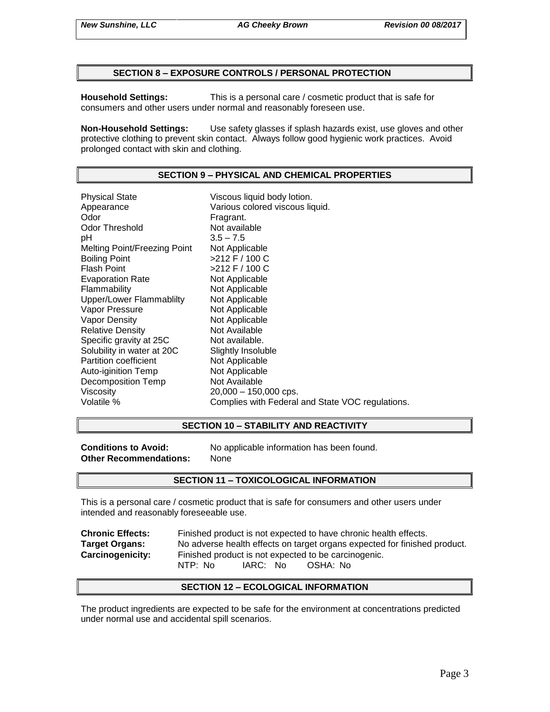### **SECTION 8 – EXPOSURE CONTROLS / PERSONAL PROTECTION**

**Household Settings:** This is a personal care / cosmetic product that is safe for consumers and other users under normal and reasonably foreseen use.

**Non-Household Settings:** Use safety glasses if splash hazards exist, use gloves and other protective clothing to prevent skin contact. Always follow good hygienic work practices. Avoid prolonged contact with skin and clothing.

### **SECTION 9 – PHYSICAL AND CHEMICAL PROPERTIES**

Physical State Viscous liquid body lotion. Appearance **Various colored viscous liquid.**<br>
Odor Communication Colore Fragrant. Odor Threshold Not available pH 3.5 – 7.5 Melting Point/Freezing Point Not Applicable Boiling Point  $>212$  F / 100 C Flash Point  $>212$  F / 100 C Evaporation Rate Not Applicable Flammability Not Applicable Upper/Lower Flammablilty Not Applicable Vapor Pressure Not Applicable Vapor Density Not Applicable Relative Density Not Available Specific gravity at 25C Not available. Solubility in water at 20C Slightly Insoluble<br>
Partition coefficient
Subsetted Not Applicable Partition coefficient Auto-iginition Temp Not Applicable Decomposition Temp Not Available Viscosity 20,000 – 150,000 cps. Volatile % Complies with Federal and State VOC regulations.

### **SECTION 10 – STABILITY AND REACTIVITY**

**Other Recommendations:** None

**Conditions to Avoid:** No applicable information has been found.

### **SECTION 11 – TOXICOLOGICAL INFORMATION**

This is a personal care / cosmetic product that is safe for consumers and other users under intended and reasonably foreseeable use.

| <b>Chronic Effects:</b> | Finished product is not expected to have chronic health effects.          |  |  |  |  |
|-------------------------|---------------------------------------------------------------------------|--|--|--|--|
| <b>Target Organs:</b>   | No adverse health effects on target organs expected for finished product. |  |  |  |  |
| <b>Carcinogenicity:</b> | Finished product is not expected to be carcinogenic.                      |  |  |  |  |
|                         | IARC: No<br>NTP: No<br>OSHA: No                                           |  |  |  |  |

### **SECTION 12 – ECOLOGICAL INFORMATION**

The product ingredients are expected to be safe for the environment at concentrations predicted under normal use and accidental spill scenarios.